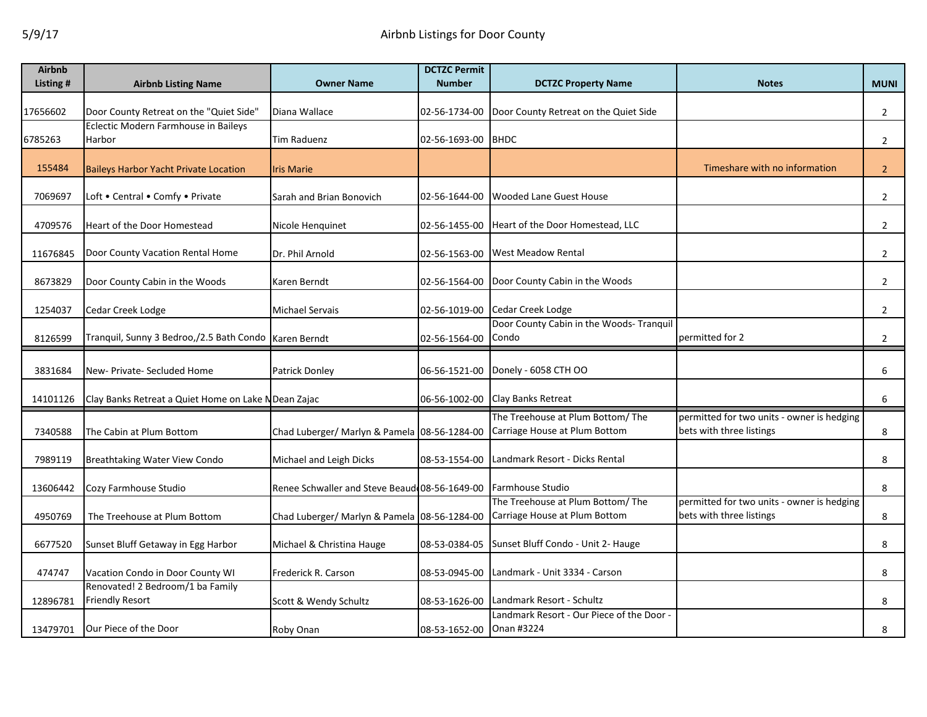| <b>Airbnb</b> |                                                            |                                               | <b>DCTZC Permit</b>      |                                                                    |                                                                        |                |
|---------------|------------------------------------------------------------|-----------------------------------------------|--------------------------|--------------------------------------------------------------------|------------------------------------------------------------------------|----------------|
| Listing #     | <b>Airbnb Listing Name</b>                                 | <b>Owner Name</b>                             | <b>Number</b>            | <b>DCTZC Property Name</b>                                         | <b>Notes</b>                                                           | <b>MUNI</b>    |
| 17656602      | Door County Retreat on the "Quiet Side"                    | Diana Wallace                                 | 02-56-1734-00            | Door County Retreat on the Quiet Side                              |                                                                        | $\overline{2}$ |
|               | Eclectic Modern Farmhouse in Baileys                       |                                               |                          |                                                                    |                                                                        |                |
| 6785263       | Harbor                                                     | Tim Raduenz                                   | 02-56-1693-00            | <b>BHDC</b>                                                        |                                                                        | $\overline{2}$ |
| 155484        | <b>Baileys Harbor Yacht Private Location</b>               | <b>Iris Marie</b>                             |                          |                                                                    | Timeshare with no information                                          | 2 <sup>2</sup> |
| 7069697       | Loft . Central . Comfy . Private                           | Sarah and Brian Bonovich                      | 02-56-1644-00            | <b>Wooded Lane Guest House</b>                                     |                                                                        | $\overline{2}$ |
| 4709576       | Heart of the Door Homestead                                | Nicole Henquinet                              | 02-56-1455-00            | Heart of the Door Homestead, LLC                                   |                                                                        | $\overline{2}$ |
| 11676845      | Door County Vacation Rental Home                           | Dr. Phil Arnold                               | 02-56-1563-00            | <b>West Meadow Rental</b>                                          |                                                                        | $\overline{2}$ |
| 8673829       | Door County Cabin in the Woods                             | Karen Berndt                                  | 02-56-1564-00            | Door County Cabin in the Woods                                     |                                                                        | $\overline{2}$ |
| 1254037       | Cedar Creek Lodge                                          | Michael Servais                               | 02-56-1019-00            | Cedar Creek Lodge                                                  |                                                                        | $\overline{2}$ |
| 8126599       | Tranquil, Sunny 3 Bedroo,/2.5 Bath Condo Karen Berndt      |                                               | 02-56-1564-00            | Door County Cabin in the Woods- Tranquil<br>Condo                  | permitted for 2                                                        | $\overline{2}$ |
| 3831684       | New- Private- Secluded Home                                | Patrick Donley                                | 06-56-1521-00            | Donely - 6058 CTH OO                                               |                                                                        | 6              |
| 14101126      | Clay Banks Retreat a Quiet Home on Lake N Dean Zajac       |                                               | 06-56-1002-00            | <b>Clay Banks Retreat</b>                                          |                                                                        | 6              |
| 7340588       | The Cabin at Plum Bottom                                   | Chad Luberger/ Marlyn & Pamela 08-56-1284-00  |                          | The Treehouse at Plum Bottom/ The<br>Carriage House at Plum Bottom | permitted for two units - owner is hedging<br>bets with three listings | 8              |
| 7989119       | <b>Breathtaking Water View Condo</b>                       | Michael and Leigh Dicks                       | 08-53-1554-00            | Landmark Resort - Dicks Rental                                     |                                                                        | 8              |
| 13606442      | Cozy Farmhouse Studio                                      | Renee Schwaller and Steve Beaud 08-56-1649-00 |                          | Farmhouse Studio                                                   |                                                                        | 8              |
| 4950769       | The Treehouse at Plum Bottom                               | Chad Luberger/ Marlyn & Pamela 08-56-1284-00  |                          | The Treehouse at Plum Bottom/ The<br>Carriage House at Plum Bottom | permitted for two units - owner is hedging<br>bets with three listings | 8              |
| 6677520       | Sunset Bluff Getaway in Egg Harbor                         | Michael & Christina Hauge                     | 08-53-0384-05            | Sunset Bluff Condo - Unit 2- Hauge                                 |                                                                        | 8              |
| 474747        | Vacation Condo in Door County WI                           | Frederick R. Carson                           | 08-53-0945-00            | Landmark - Unit 3334 - Carson                                      |                                                                        | 8              |
| 12896781      | Renovated! 2 Bedroom/1 ba Family<br><b>Friendly Resort</b> | Scott & Wendy Schultz                         | 08-53-1626-00            | Landmark Resort - Schultz                                          |                                                                        | 8              |
| 13479701      | Our Piece of the Door                                      | Roby Onan                                     | 08-53-1652-00 Onan #3224 | Landmark Resort - Our Piece of the Door -                          |                                                                        | 8              |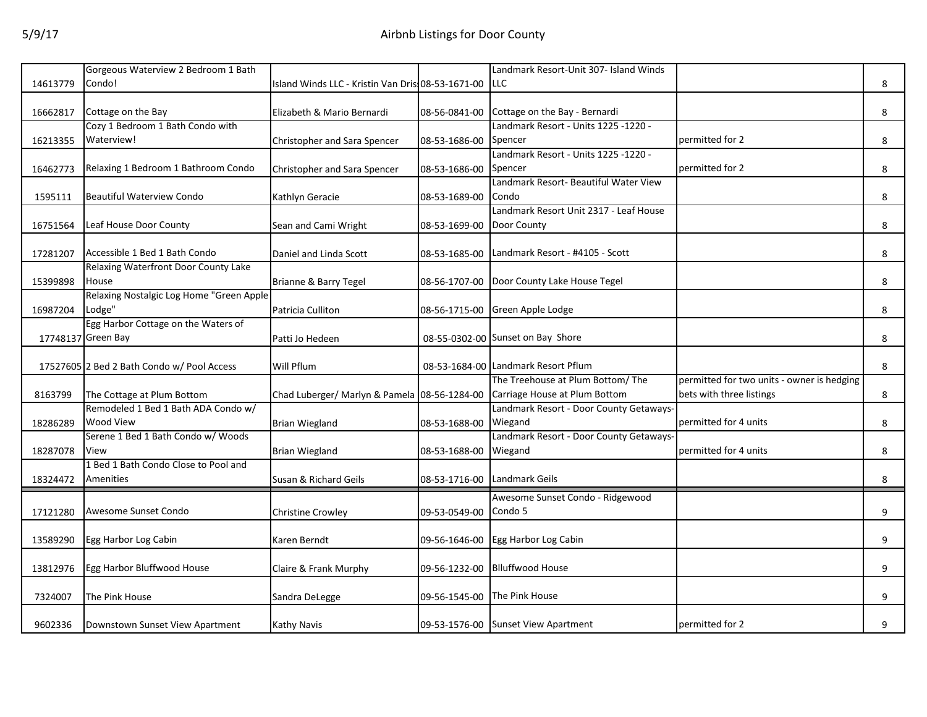|          | Gorgeous Waterview 2 Bedroom 1 Bath        |                                                    |               | Landmark Resort-Unit 307- Island Winds  |                                            |   |
|----------|--------------------------------------------|----------------------------------------------------|---------------|-----------------------------------------|--------------------------------------------|---|
| 14613779 | Condo!                                     | Island Winds LLC - Kristin Van Dris: 08-53-1671-00 |               | LLC                                     |                                            | 8 |
|          |                                            |                                                    |               |                                         |                                            |   |
| 16662817 | Cottage on the Bay                         | Elizabeth & Mario Bernardi                         | 08-56-0841-00 | Cottage on the Bay - Bernardi           |                                            | 8 |
|          | Cozy 1 Bedroom 1 Bath Condo with           |                                                    |               | Landmark Resort - Units 1225 -1220 -    |                                            |   |
| 16213355 | Waterview!                                 | Christopher and Sara Spencer                       | 08-53-1686-00 | Spencer                                 | permitted for 2                            | 8 |
|          |                                            |                                                    |               | Landmark Resort - Units 1225 -1220 -    |                                            |   |
| 16462773 | Relaxing 1 Bedroom 1 Bathroom Condo        | Christopher and Sara Spencer                       | 08-53-1686-00 | Spencer                                 | permitted for 2                            | 8 |
|          |                                            |                                                    |               | Landmark Resort- Beautiful Water View   |                                            |   |
| 1595111  | <b>Beautiful Waterview Condo</b>           | Kathlyn Geracie                                    | 08-53-1689-00 | Condo                                   |                                            | 8 |
|          |                                            |                                                    |               | Landmark Resort Unit 2317 - Leaf House  |                                            |   |
| 16751564 | Leaf House Door County                     | Sean and Cami Wright                               | 08-53-1699-00 | Door County                             |                                            | 8 |
|          |                                            |                                                    |               |                                         |                                            |   |
| 17281207 | Accessible 1 Bed 1 Bath Condo              | Daniel and Linda Scott                             | 08-53-1685-00 | Landmark Resort - #4105 - Scott         |                                            | 8 |
|          | Relaxing Waterfront Door County Lake       |                                                    |               |                                         |                                            |   |
| 15399898 | House                                      | Brianne & Barry Tegel                              | 08-56-1707-00 | Door County Lake House Tegel            |                                            | 8 |
|          | Relaxing Nostalgic Log Home "Green Apple   |                                                    |               |                                         |                                            |   |
| 16987204 | Lodge"                                     | Patricia Culliton                                  | 08-56-1715-00 | Green Apple Lodge                       |                                            | 8 |
|          | Egg Harbor Cottage on the Waters of        |                                                    |               |                                         |                                            |   |
|          | 17748137 Green Bay                         | Patti Jo Hedeen                                    |               | 08-55-0302-00 Sunset on Bay Shore       |                                            | 8 |
|          |                                            |                                                    |               |                                         |                                            |   |
|          | 17527605 2 Bed 2 Bath Condo w/ Pool Access | Will Pflum                                         |               | 08-53-1684-00 Landmark Resort Pflum     |                                            | 8 |
|          |                                            |                                                    |               | The Treehouse at Plum Bottom/ The       | permitted for two units - owner is hedging |   |
| 8163799  | The Cottage at Plum Bottom                 | Chad Luberger/ Marlyn & Pamela 08-56-1284-00       |               | Carriage House at Plum Bottom           | bets with three listings                   | 8 |
|          | Remodeled 1 Bed 1 Bath ADA Condo w/        |                                                    |               | Landmark Resort - Door County Getaways- |                                            |   |
| 18286289 | Wood View                                  | <b>Brian Wiegland</b>                              | 08-53-1688-00 | Wiegand                                 | permitted for 4 units                      | 8 |
|          | Serene 1 Bed 1 Bath Condo w/ Woods         |                                                    |               | Landmark Resort - Door County Getaways- |                                            |   |
| 18287078 | View                                       | <b>Brian Wiegland</b>                              | 08-53-1688-00 | Wiegand                                 | permitted for 4 units                      | 8 |
|          | 1 Bed 1 Bath Condo Close to Pool and       |                                                    |               |                                         |                                            |   |
| 18324472 | Amenities                                  | Susan & Richard Geils                              | 08-53-1716-00 | Landmark Geils                          |                                            | 8 |
|          |                                            |                                                    |               | Awesome Sunset Condo - Ridgewood        |                                            |   |
| 17121280 | Awesome Sunset Condo                       |                                                    |               | Condo 5                                 |                                            | 9 |
|          |                                            | Christine Crowley                                  | 09-53-0549-00 |                                         |                                            |   |
| 13589290 | Egg Harbor Log Cabin                       |                                                    |               | Egg Harbor Log Cabin                    |                                            | 9 |
|          |                                            | Karen Berndt                                       | 09-56-1646-00 |                                         |                                            |   |
|          | Egg Harbor Bluffwood House                 | Claire & Frank Murphy                              |               | <b>Blluffwood House</b>                 |                                            |   |
| 13812976 |                                            |                                                    | 09-56-1232-00 |                                         |                                            | 9 |
| 7324007  | The Pink House                             |                                                    | 09-56-1545-00 | The Pink House                          |                                            | 9 |
|          |                                            | Sandra DeLegge                                     |               |                                         |                                            |   |
| 9602336  |                                            | <b>Kathy Navis</b>                                 |               | 09-53-1576-00 Sunset View Apartment     | permitted for 2                            | 9 |
|          | Downstown Sunset View Apartment            |                                                    |               |                                         |                                            |   |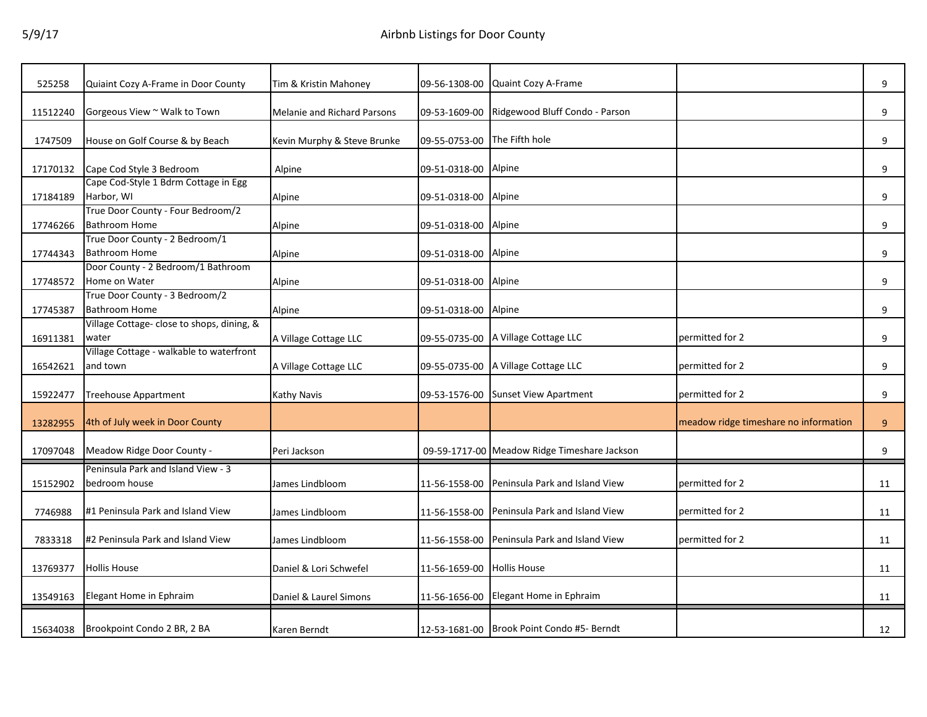| 525258   | Quiaint Cozy A-Frame in Door County                       | Tim & Kristin Mahoney              | 09-56-1308-00        | Quaint Cozy A-Frame                          |                                       | 9  |
|----------|-----------------------------------------------------------|------------------------------------|----------------------|----------------------------------------------|---------------------------------------|----|
| 11512240 | Gorgeous View ~ Walk to Town                              | <b>Melanie and Richard Parsons</b> | 09-53-1609-00        | Ridgewood Bluff Condo - Parson               |                                       | 9  |
| 1747509  | House on Golf Course & by Beach                           | Kevin Murphy & Steve Brunke        | 09-55-0753-00        | The Fifth hole                               |                                       | 9  |
| 17170132 | Cape Cod Style 3 Bedroom                                  | Alpine                             | 09-51-0318-00        | Alpine                                       |                                       | 9  |
| 17184189 | Cape Cod-Style 1 Bdrm Cottage in Egg<br>Harbor, WI        | Alpine                             | 09-51-0318-00        | Alpine                                       |                                       | 9  |
| 17746266 | True Door County - Four Bedroom/2<br><b>Bathroom Home</b> | Alpine                             | 09-51-0318-00 Alpine |                                              |                                       | 9  |
| 17744343 | True Door County - 2 Bedroom/1<br><b>Bathroom Home</b>    | Alpine                             | 09-51-0318-00 Alpine |                                              |                                       | 9  |
| 17748572 | Door County - 2 Bedroom/1 Bathroom<br>Home on Water       | Alpine                             | 09-51-0318-00        | Alpine                                       |                                       | 9  |
| 17745387 | True Door County - 3 Bedroom/2<br><b>Bathroom Home</b>    | Alpine                             | 09-51-0318-00 Alpine |                                              |                                       | 9  |
| 16911381 | Village Cottage- close to shops, dining, &<br>water       | A Village Cottage LLC              |                      | 09-55-0735-00 A Village Cottage LLC          | permitted for 2                       | 9  |
| 16542621 | Village Cottage - walkable to waterfront<br>and town      | A Village Cottage LLC              |                      | 09-55-0735-00 A Village Cottage LLC          | permitted for 2                       | 9  |
| 15922477 | <b>Treehouse Appartment</b>                               | Kathy Navis                        | 09-53-1576-00        | <b>Sunset View Apartment</b>                 | permitted for 2                       | 9  |
| 13282955 | 4th of July week in Door County                           |                                    |                      |                                              | meadow ridge timeshare no information | 9  |
| 17097048 | Meadow Ridge Door County -                                | Peri Jackson                       |                      | 09-59-1717-00 Meadow Ridge Timeshare Jackson |                                       | 9  |
| 15152902 | Peninsula Park and Island View - 3<br>bedroom house       | James Lindbloom                    | 11-56-1558-00        | Peninsula Park and Island View               | permitted for 2                       | 11 |
| 7746988  | #1 Peninsula Park and Island View                         | James Lindbloom                    | 11-56-1558-00        | Peninsula Park and Island View               | permitted for 2                       | 11 |
| 7833318  | #2 Peninsula Park and Island View                         | James Lindbloom                    | 11-56-1558-00        | Peninsula Park and Island View               | permitted for 2                       | 11 |
| 13769377 | <b>Hollis House</b>                                       | Daniel & Lori Schwefel             | 11-56-1659-00        | <b>Hollis House</b>                          |                                       | 11 |
| 13549163 | Elegant Home in Ephraim                                   | Daniel & Laurel Simons             | 11-56-1656-00        | Elegant Home in Ephraim                      |                                       | 11 |
| 15634038 | Brookpoint Condo 2 BR, 2 BA                               | Karen Berndt                       |                      | 12-53-1681-00 Brook Point Condo #5- Berndt   |                                       | 12 |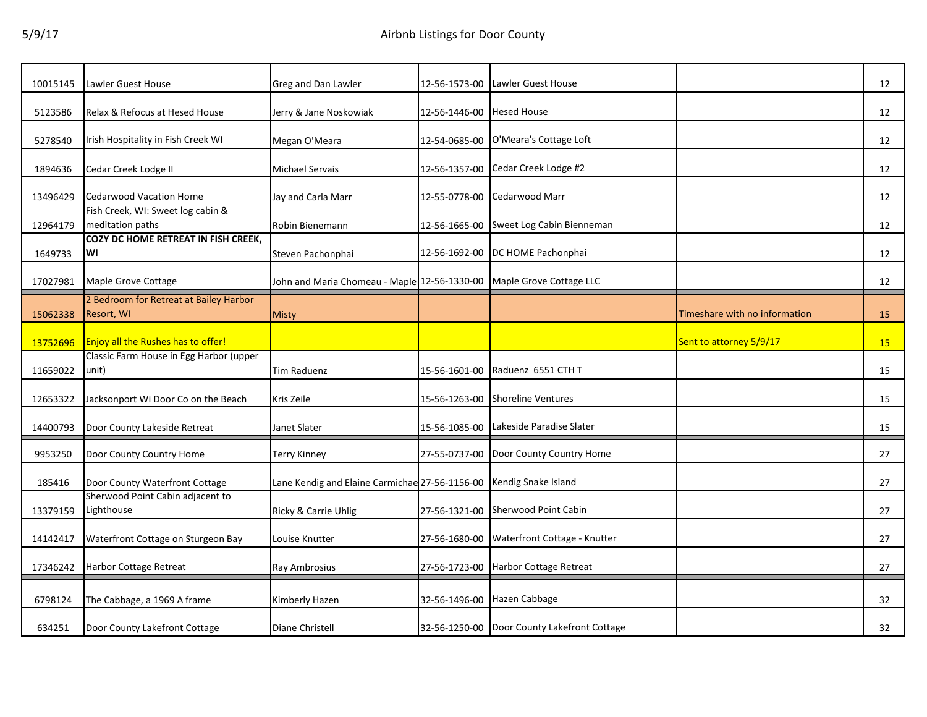| 10015145 | Lawler Guest House                                    | Greg and Dan Lawler                                                  | 12-56-1573-00 | Lawler Guest House                          |                               | 12 |
|----------|-------------------------------------------------------|----------------------------------------------------------------------|---------------|---------------------------------------------|-------------------------------|----|
| 5123586  | Relax & Refocus at Hesed House                        | Jerry & Jane Noskowiak                                               | 12-56-1446-00 | <b>Hesed House</b>                          |                               | 12 |
| 5278540  | Irish Hospitality in Fish Creek WI                    | Megan O'Meara                                                        |               | 12-54-0685-00 O'Meara's Cottage Loft        |                               | 12 |
| 1894636  | Cedar Creek Lodge II                                  | <b>Michael Servais</b>                                               | 12-56-1357-00 | Cedar Creek Lodge #2                        |                               | 12 |
| 13496429 | <b>Cedarwood Vacation Home</b>                        | Jay and Carla Marr                                                   | 12-55-0778-00 | Cedarwood Marr                              |                               | 12 |
| 12964179 | Fish Creek, WI: Sweet log cabin &<br>meditation paths | Robin Bienemann                                                      | 12-56-1665-00 | Sweet Log Cabin Bienneman                   |                               | 12 |
| 1649733  | COZY DC HOME RETREAT IN FISH CREEK,<br>WI             | Steven Pachonphai                                                    |               | 12-56-1692-00  DC HOME Pachonphai           |                               | 12 |
| 17027981 | Maple Grove Cottage                                   | John and Maria Chomeau - Maple 12-56-1330-00 Maple Grove Cottage LLC |               |                                             |                               | 12 |
| 15062338 | 2 Bedroom for Retreat at Bailey Harbor<br>Resort, WI  | <b>Misty</b>                                                         |               |                                             | Timeshare with no information | 15 |
| 13752696 | Enjoy all the Rushes has to offer!                    |                                                                      |               |                                             | Sent to attorney 5/9/17       | 15 |
| 11659022 | Classic Farm House in Egg Harbor (upper<br>unit)      | Tim Raduenz                                                          | 15-56-1601-00 | Raduenz 6551 CTH T                          |                               | 15 |
| 12653322 | Jacksonport Wi Door Co on the Beach                   | Kris Zeile                                                           | 15-56-1263-00 | <b>Shoreline Ventures</b>                   |                               | 15 |
| 14400793 | Door County Lakeside Retreat                          | Janet Slater                                                         | 15-56-1085-00 | Lakeside Paradise Slater                    |                               | 15 |
| 9953250  | Door County Country Home                              | Terry Kinney                                                         |               | 27-55-0737-00 Door County Country Home      |                               | 27 |
| 185416   | Door County Waterfront Cottage                        | Lane Kendig and Elaine Carmichae 27-56-1156-00 Kendig Snake Island   |               |                                             |                               | 27 |
| 13379159 | Sherwood Point Cabin adjacent to<br>Lighthouse        | Ricky & Carrie Uhlig                                                 | 27-56-1321-00 | Sherwood Point Cabin                        |                               | 27 |
| 14142417 | Waterfront Cottage on Sturgeon Bay                    | Louise Knutter                                                       | 27-56-1680-00 | Waterfront Cottage - Knutter                |                               | 27 |
| 17346242 | Harbor Cottage Retreat                                | Ray Ambrosius                                                        | 27-56-1723-00 | Harbor Cottage Retreat                      |                               | 27 |
| 6798124  | The Cabbage, a 1969 A frame                           | Kimberly Hazen                                                       | 32-56-1496-00 | Hazen Cabbage                               |                               | 32 |
| 634251   | Door County Lakefront Cottage                         | Diane Christell                                                      |               | 32-56-1250-00 Door County Lakefront Cottage |                               | 32 |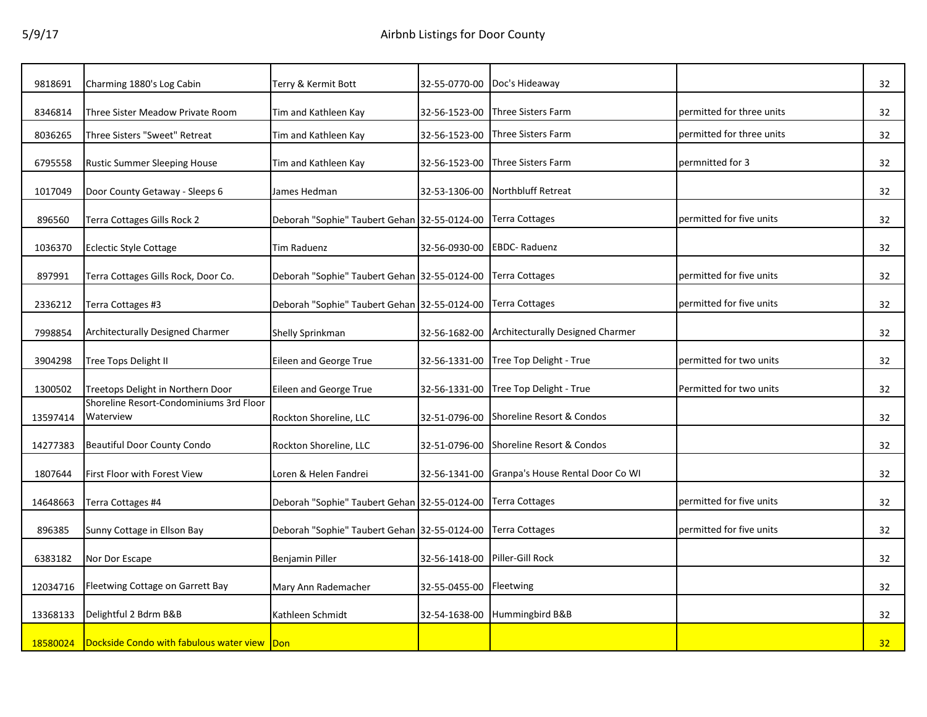| 9818691  | Charming 1880's Log Cabin                            | Terry & Kermit Bott                          | 32-55-0770-00 | Doc's Hideaway                          |                           | 32 |
|----------|------------------------------------------------------|----------------------------------------------|---------------|-----------------------------------------|---------------------------|----|
| 8346814  | Three Sister Meadow Private Room                     | Tim and Kathleen Kay                         | 32-56-1523-00 | Three Sisters Farm                      | permitted for three units | 32 |
| 8036265  | Three Sisters "Sweet" Retreat                        | Tim and Kathleen Kay                         | 32-56-1523-00 | Three Sisters Farm                      | permitted for three units | 32 |
| 6795558  | <b>Rustic Summer Sleeping House</b>                  | Tim and Kathleen Kay                         | 32-56-1523-00 | Three Sisters Farm                      | permnitted for 3          | 32 |
| 1017049  | Door County Getaway - Sleeps 6                       | James Hedman                                 | 32-53-1306-00 | <b>Northbluff Retreat</b>               |                           | 32 |
| 896560   | Terra Cottages Gills Rock 2                          | Deborah "Sophie" Taubert Gehan 32-55-0124-00 |               | <b>Terra Cottages</b>                   | permitted for five units  | 32 |
| 1036370  | <b>Eclectic Style Cottage</b>                        | <b>Tim Raduenz</b>                           | 32-56-0930-00 | <b>EBDC-Raduenz</b>                     |                           | 32 |
| 897991   | Terra Cottages Gills Rock, Door Co.                  | Deborah "Sophie" Taubert Gehan 32-55-0124-00 |               | <b>Terra Cottages</b>                   | permitted for five units  | 32 |
| 2336212  | Terra Cottages #3                                    | Deborah "Sophie" Taubert Gehan 32-55-0124-00 |               | Terra Cottages                          | permitted for five units  | 32 |
| 7998854  | Architecturally Designed Charmer                     |                                              | 32-56-1682-00 | <b>Architecturally Designed Charmer</b> |                           | 32 |
|          |                                                      | Shelly Sprinkman                             |               |                                         |                           |    |
| 3904298  | Tree Tops Delight II                                 | Eileen and George True                       | 32-56-1331-00 | Tree Top Delight - True                 | permitted for two units   | 32 |
| 1300502  | Treetops Delight in Northern Door                    | Eileen and George True                       | 32-56-1331-00 | Tree Top Delight - True                 | Permitted for two units   | 32 |
| 13597414 | Shoreline Resort-Condominiums 3rd Floor<br>Waterview | Rockton Shoreline, LLC                       | 32-51-0796-00 | Shoreline Resort & Condos               |                           | 32 |
| 14277383 | <b>Beautiful Door County Condo</b>                   | Rockton Shoreline, LLC                       | 32-51-0796-00 | Shoreline Resort & Condos               |                           | 32 |
| 1807644  | First Floor with Forest View                         | Loren & Helen Fandrei                        | 32-56-1341-00 | Granpa's House Rental Door Co WI        |                           | 32 |
| 14648663 | Terra Cottages #4                                    | Deborah "Sophie" Taubert Gehan 32-55-0124-00 |               | Terra Cottages                          | permitted for five units  | 32 |
| 896385   | Sunny Cottage in Ellson Bay                          | Deborah "Sophie" Taubert Gehan 32-55-0124-00 |               | Terra Cottages                          | permitted for five units  | 32 |
| 6383182  | Nor Dor Escape                                       | Benjamin Piller                              | 32-56-1418-00 | Piller-Gill Rock                        |                           | 32 |
|          |                                                      |                                              |               |                                         |                           |    |
| 12034716 | Fleetwing Cottage on Garrett Bay                     | Mary Ann Rademacher                          | 32-55-0455-00 | Fleetwing                               |                           | 32 |
| 13368133 | Delightful 2 Bdrm B&B                                | Kathleen Schmidt                             | 32-54-1638-00 | Hummingbird B&B                         |                           | 32 |
| 18580024 | Dockside Condo with fabulous water view Don          |                                              |               |                                         |                           | 32 |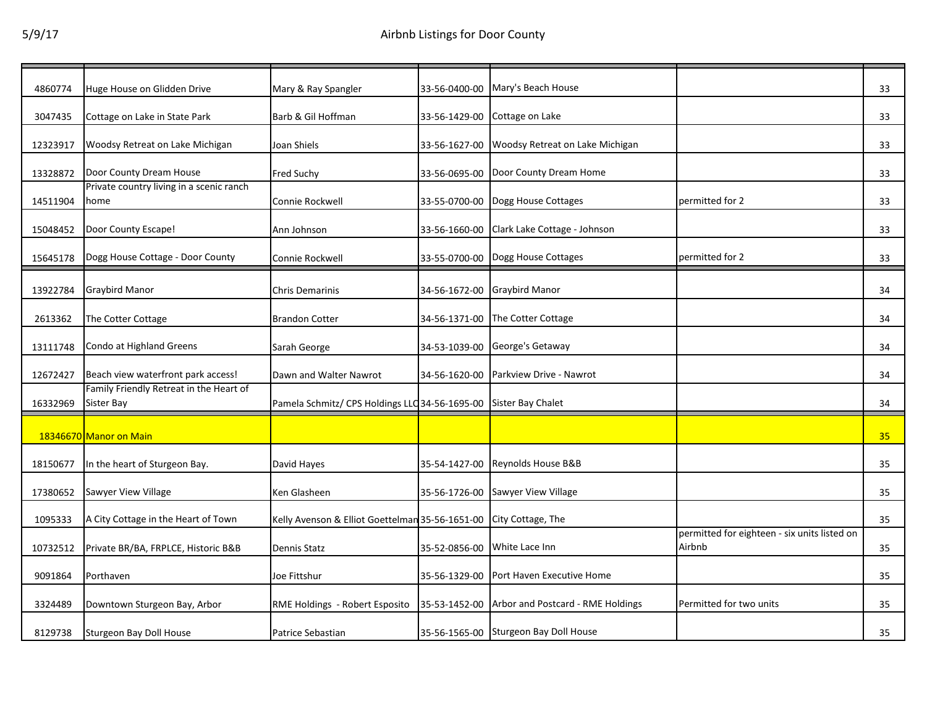| 4860774  | Huge House on Glidden Drive                           | Mary & Ray Spangler                                               |                              | 33-56-0400-00 Mary's Beach House                |                                                        | 33 |
|----------|-------------------------------------------------------|-------------------------------------------------------------------|------------------------------|-------------------------------------------------|--------------------------------------------------------|----|
| 3047435  | Cottage on Lake in State Park                         | Barb & Gil Hoffman                                                |                              | 33-56-1429-00 Cottage on Lake                   |                                                        | 33 |
| 12323917 | Woodsy Retreat on Lake Michigan                       | Joan Shiels                                                       | 33-56-1627-00                | Woodsy Retreat on Lake Michigan                 |                                                        | 33 |
| 13328872 | Door County Dream House                               | <b>Fred Suchy</b>                                                 | 33-56-0695-00                | Door County Dream Home                          |                                                        | 33 |
| 14511904 | Private country living in a scenic ranch<br>home      | Connie Rockwell                                                   |                              | 33-55-0700-00 Dogg House Cottages               | permitted for 2                                        | 33 |
| 15048452 | Door County Escape!                                   | Ann Johnson                                                       |                              | 33-56-1660-00 Clark Lake Cottage - Johnson      |                                                        | 33 |
| 15645178 | Dogg House Cottage - Door County                      | Connie Rockwell                                                   |                              | 33-55-0700-00 Dogg House Cottages               | permitted for 2                                        | 33 |
| 13922784 | <b>Graybird Manor</b>                                 | <b>Chris Demarinis</b>                                            |                              | 34-56-1672-00 Graybird Manor                    |                                                        | 34 |
| 2613362  | The Cotter Cottage                                    | <b>Brandon Cotter</b>                                             | 34-56-1371-00                | The Cotter Cottage                              |                                                        | 34 |
| 13111748 | Condo at Highland Greens                              | Sarah George                                                      |                              | 34-53-1039-00 George's Getaway                  |                                                        | 34 |
| 12672427 | Beach view waterfront park access!                    | Dawn and Walter Nawrot                                            | 34-56-1620-00                | Parkview Drive - Nawrot                         |                                                        | 34 |
| 16332969 | Family Friendly Retreat in the Heart of<br>Sister Bay | Pamela Schmitz/ CPS Holdings LLC 34-56-1695-00 Sister Bay Chalet  |                              |                                                 |                                                        | 34 |
|          | 18346670 Manor on Main                                |                                                                   |                              |                                                 |                                                        | 35 |
| 18150677 | In the heart of Sturgeon Bay.                         | David Hayes                                                       |                              | 35-54-1427-00 Reynolds House B&B                |                                                        | 35 |
| 17380652 | Sawyer View Village                                   | Ken Glasheen                                                      |                              | 35-56-1726-00 Sawyer View Village               |                                                        | 35 |
| 1095333  | A City Cottage in the Heart of Town                   | Kelly Avenson & Elliot Goettelman 35-56-1651-00 City Cottage, The |                              |                                                 |                                                        | 35 |
| 10732512 | Private BR/BA, FRPLCE, Historic B&B                   | <b>Dennis Statz</b>                                               | 35-52-0856-00 White Lace Inn |                                                 | permitted for eighteen - six units listed on<br>Airbnb | 35 |
| 9091864  | Porthaven                                             | Joe Fittshur                                                      |                              | 35-56-1329-00 Port Haven Executive Home         |                                                        | 35 |
| 3324489  | Downtown Sturgeon Bay, Arbor                          | RME Holdings - Robert Esposito                                    |                              | 35-53-1452-00 Arbor and Postcard - RME Holdings | Permitted for two units                                | 35 |
| 8129738  | <b>Sturgeon Bay Doll House</b>                        | Patrice Sebastian                                                 |                              | 35-56-1565-00 Sturgeon Bay Doll House           |                                                        | 35 |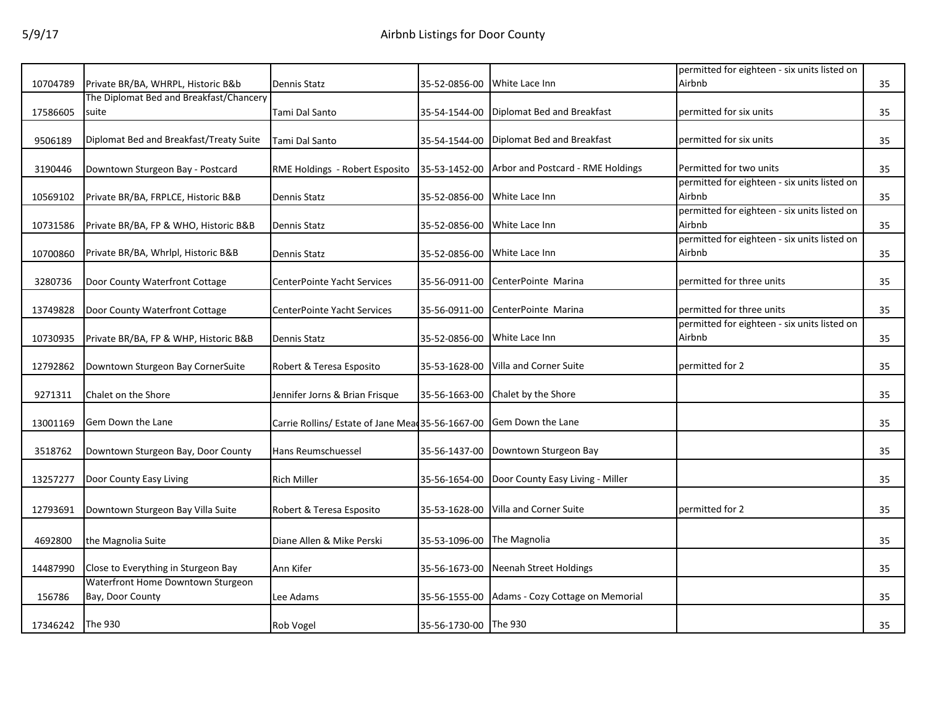|          |                                         |                                                   |                       |                                   | permitted for eighteen - six units listed on |    |
|----------|-----------------------------------------|---------------------------------------------------|-----------------------|-----------------------------------|----------------------------------------------|----|
| 10704789 | Private BR/BA, WHRPL, Historic B&b      | Dennis Statz                                      | 35-52-0856-00         | White Lace Inn                    | Airbnb                                       | 35 |
|          | The Diplomat Bed and Breakfast/Chancery |                                                   |                       |                                   |                                              |    |
| 17586605 | suite                                   | Tami Dal Santo                                    | 35-54-1544-00         | Diplomat Bed and Breakfast        | permitted for six units                      | 35 |
|          |                                         |                                                   |                       |                                   |                                              |    |
| 9506189  | Diplomat Bed and Breakfast/Treaty Suite | Tami Dal Santo                                    | 35-54-1544-00         | Diplomat Bed and Breakfast        | permitted for six units                      | 35 |
|          |                                         |                                                   |                       |                                   |                                              |    |
| 3190446  | Downtown Sturgeon Bay - Postcard        | RME Holdings - Robert Esposito                    | 35-53-1452-00         | Arbor and Postcard - RME Holdings | Permitted for two units                      | 35 |
|          |                                         |                                                   |                       |                                   | permitted for eighteen - six units listed on |    |
| 10569102 | Private BR/BA, FRPLCE, Historic B&B     | Dennis Statz                                      | 35-52-0856-00         | White Lace Inn                    | Airbnb                                       | 35 |
|          |                                         |                                                   |                       |                                   | permitted for eighteen - six units listed on |    |
| 10731586 | Private BR/BA, FP & WHO, Historic B&B   | <b>Dennis Statz</b>                               | 35-52-0856-00         | White Lace Inn                    | Airbnb                                       | 35 |
|          |                                         |                                                   |                       |                                   | permitted for eighteen - six units listed on |    |
| 10700860 | Private BR/BA, Whrlpl, Historic B&B     | Dennis Statz                                      | 35-52-0856-00         | White Lace Inn                    | Airbnb                                       | 35 |
|          |                                         |                                                   |                       |                                   |                                              |    |
| 3280736  | Door County Waterfront Cottage          | CenterPointe Yacht Services                       | 35-56-0911-00         | CenterPointe Marina               | permitted for three units                    | 35 |
|          |                                         |                                                   |                       |                                   |                                              |    |
| 13749828 | Door County Waterfront Cottage          | CenterPointe Yacht Services                       | 35-56-0911-00         | CenterPointe Marina               | permitted for three units                    | 35 |
|          |                                         |                                                   |                       |                                   | permitted for eighteen - six units listed on |    |
| 10730935 | Private BR/BA, FP & WHP, Historic B&B   | Dennis Statz                                      | 35-52-0856-00         | White Lace Inn                    | Airbnb                                       | 35 |
|          |                                         |                                                   |                       |                                   |                                              |    |
| 12792862 | Downtown Sturgeon Bay CornerSuite       | Robert & Teresa Esposito                          | 35-53-1628-00         | Villa and Corner Suite            | permitted for 2                              | 35 |
|          |                                         |                                                   |                       |                                   |                                              |    |
| 9271311  | Chalet on the Shore                     | Jennifer Jorns & Brian Frisque                    | 35-56-1663-00         | Chalet by the Shore               |                                              | 35 |
|          |                                         |                                                   |                       |                                   |                                              |    |
| 13001169 | Gem Down the Lane                       | Carrie Rollins/ Estate of Jane Mead 35-56-1667-00 |                       | Gem Down the Lane                 |                                              | 35 |
|          |                                         |                                                   |                       |                                   |                                              |    |
| 3518762  | Downtown Sturgeon Bay, Door County      | Hans Reumschuessel                                | 35-56-1437-00         | Downtown Sturgeon Bay             |                                              | 35 |
|          |                                         |                                                   |                       |                                   |                                              |    |
| 13257277 | Door County Easy Living                 | <b>Rich Miller</b>                                | 35-56-1654-00         | Door County Easy Living - Miller  |                                              | 35 |
|          |                                         |                                                   |                       |                                   |                                              |    |
| 12793691 | Downtown Sturgeon Bay Villa Suite       | Robert & Teresa Esposito                          | 35-53-1628-00         | Villa and Corner Suite            | permitted for 2                              | 35 |
|          |                                         |                                                   |                       |                                   |                                              |    |
| 4692800  | the Magnolia Suite                      | Diane Allen & Mike Perski                         | 35-53-1096-00         | The Magnolia                      |                                              | 35 |
|          |                                         |                                                   |                       |                                   |                                              |    |
| 14487990 | Close to Everything in Sturgeon Bay     | Ann Kifer                                         | 35-56-1673-00         | Neenah Street Holdings            |                                              | 35 |
|          | Waterfront Home Downtown Sturgeon       |                                                   |                       |                                   |                                              |    |
| 156786   | Bay, Door County                        | Lee Adams                                         | 35-56-1555-00         | Adams - Cozy Cottage on Memorial  |                                              | 35 |
|          |                                         |                                                   |                       |                                   |                                              |    |
| 17346242 | The 930                                 | Rob Vogel                                         | 35-56-1730-00 The 930 |                                   |                                              | 35 |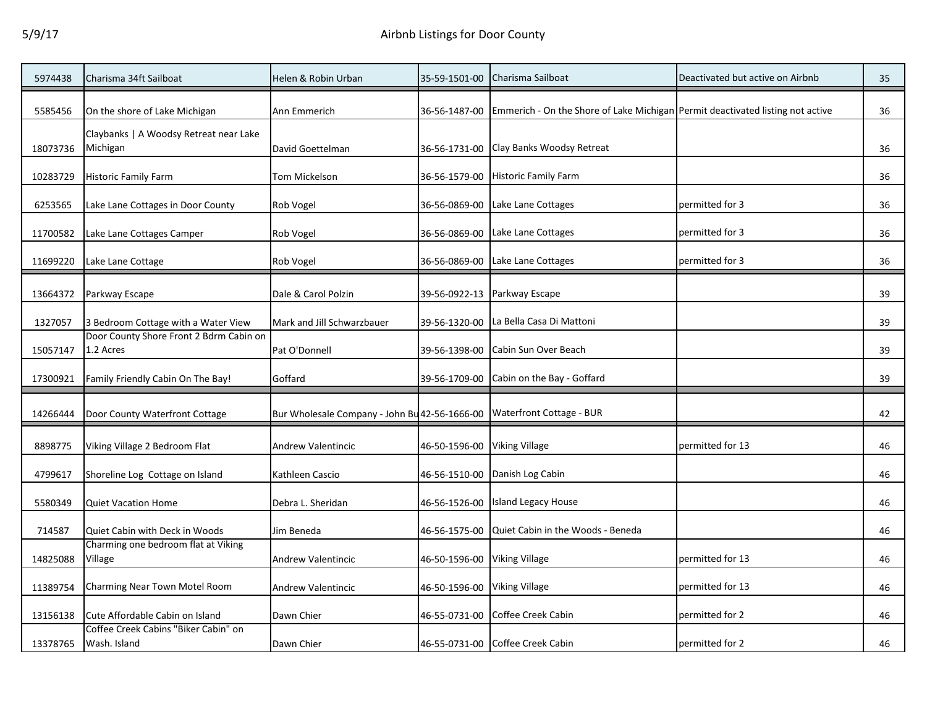| 5974438  | Charisma 34ft Sailboat                               | Helen & Robin Urban                           | 35-59-1501-00 | Charisma Sailboat                                                              | Deactivated but active on Airbnb | 35 |
|----------|------------------------------------------------------|-----------------------------------------------|---------------|--------------------------------------------------------------------------------|----------------------------------|----|
| 5585456  | On the shore of Lake Michigan                        | Ann Emmerich                                  | 36-56-1487-00 | Emmerich - On the Shore of Lake Michigan Permit deactivated listing not active |                                  | 36 |
| 18073736 | Claybanks   A Woodsy Retreat near Lake<br>Michigan   | David Goettelman                              | 36-56-1731-00 | Clay Banks Woodsy Retreat                                                      |                                  | 36 |
| 10283729 | Historic Family Farm                                 | Tom Mickelson                                 | 36-56-1579-00 | <b>Historic Family Farm</b>                                                    |                                  | 36 |
| 6253565  | Lake Lane Cottages in Door County                    | Rob Vogel                                     | 36-56-0869-00 | Lake Lane Cottages                                                             | permitted for 3                  | 36 |
| 11700582 | Lake Lane Cottages Camper                            | Rob Vogel                                     | 36-56-0869-00 | Lake Lane Cottages                                                             | permitted for 3                  | 36 |
| 11699220 | Lake Lane Cottage                                    | Rob Vogel                                     | 36-56-0869-00 | Lake Lane Cottages                                                             | permitted for 3                  | 36 |
| 13664372 | Parkway Escape                                       | Dale & Carol Polzin                           | 39-56-0922-13 | Parkway Escape                                                                 |                                  | 39 |
| 1327057  | 3 Bedroom Cottage with a Water View                  | Mark and Jill Schwarzbauer                    | 39-56-1320-00 | La Bella Casa Di Mattoni                                                       |                                  | 39 |
| 15057147 | Door County Shore Front 2 Bdrm Cabin on<br>1.2 Acres | Pat O'Donnell                                 | 39-56-1398-00 | Cabin Sun Over Beach                                                           |                                  | 39 |
| 17300921 | Family Friendly Cabin On The Bay!                    | Goffard                                       | 39-56-1709-00 | Cabin on the Bay - Goffard                                                     |                                  | 39 |
| 14266444 | Door County Waterfront Cottage                       | Bur Wholesale Company - John Bu 42-56-1666-00 |               | Waterfront Cottage - BUR                                                       |                                  | 42 |
| 8898775  | Viking Village 2 Bedroom Flat                        | Andrew Valentincic                            | 46-50-1596-00 | <b>Viking Village</b>                                                          | permitted for 13                 | 46 |
| 4799617  | Shoreline Log Cottage on Island                      | Kathleen Cascio                               | 46-56-1510-00 | Danish Log Cabin                                                               |                                  | 46 |
| 5580349  | <b>Quiet Vacation Home</b>                           | Debra L. Sheridan                             | 46-56-1526-00 | <b>Island Legacy House</b>                                                     |                                  | 46 |
| 714587   | Quiet Cabin with Deck in Woods                       | Jim Beneda                                    | 46-56-1575-00 | Quiet Cabin in the Woods - Beneda                                              |                                  | 46 |
| 14825088 | Charming one bedroom flat at Viking<br>Village       | <b>Andrew Valentincic</b>                     | 46-50-1596-00 | <b>Viking Village</b>                                                          | permitted for 13                 | 46 |
| 11389754 | Charming Near Town Motel Room                        | Andrew Valentincic                            | 46-50-1596-00 | <b>Viking Village</b>                                                          | permitted for 13                 | 46 |
| 13156138 | Cute Affordable Cabin on Island                      | Dawn Chier                                    | 46-55-0731-00 | Coffee Creek Cabin                                                             | permitted for 2                  | 46 |
| 13378765 | Coffee Creek Cabins "Biker Cabin" on<br>Wash. Island | Dawn Chier                                    |               | 46-55-0731-00 Coffee Creek Cabin                                               | permitted for 2                  | 46 |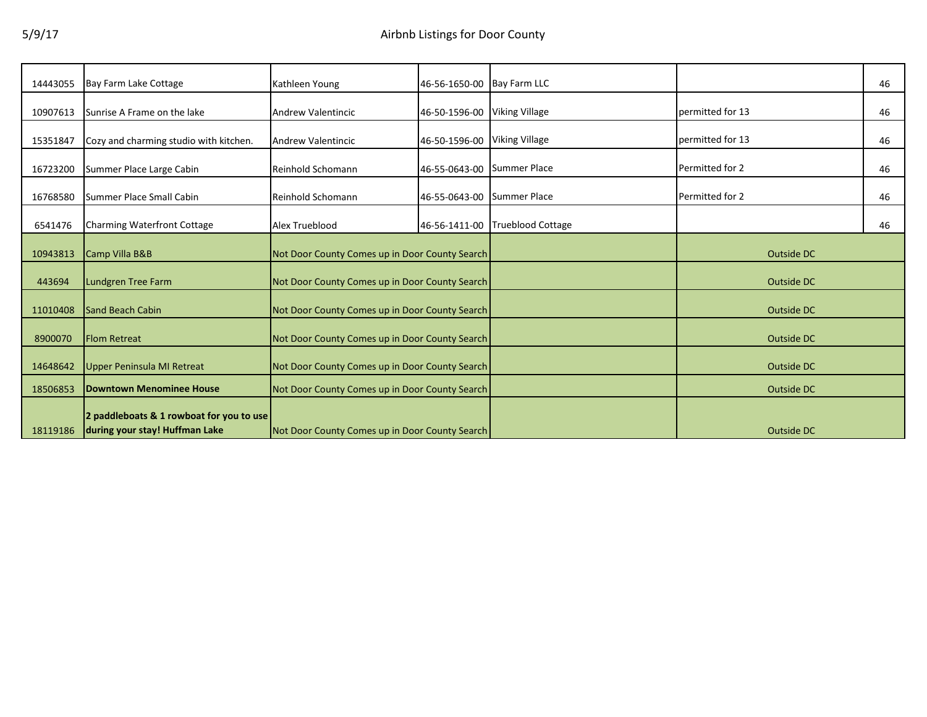| 14443055 | Bay Farm Lake Cottage                                                      | Kathleen Young                                 | 46-56-1650-00 Bay Farm LLC |                          |                  | 46 |
|----------|----------------------------------------------------------------------------|------------------------------------------------|----------------------------|--------------------------|------------------|----|
| 10907613 | Sunrise A Frame on the lake                                                | <b>Andrew Valentincic</b>                      | 46-50-1596-00              | <b>Viking Village</b>    | permitted for 13 | 46 |
| 15351847 | Cozy and charming studio with kitchen.                                     | Andrew Valentincic                             | 46-50-1596-00              | <b>Viking Village</b>    | permitted for 13 | 46 |
| 16723200 | Summer Place Large Cabin                                                   | <b>Reinhold Schomann</b>                       | 46-55-0643-00 Summer Place |                          | Permitted for 2  | 46 |
| 16768580 | Summer Place Small Cabin                                                   | <b>Reinhold Schomann</b>                       | 46-55-0643-00              | <b>Summer Place</b>      | Permitted for 2  | 46 |
| 6541476  | <b>Charming Waterfront Cottage</b>                                         | Alex Trueblood                                 | 46-56-1411-00              | <b>Trueblood Cottage</b> |                  | 46 |
| 10943813 | Camp Villa B&B                                                             | Not Door County Comes up in Door County Search |                            |                          | Outside DC       |    |
| 443694   | Lundgren Tree Farm                                                         | Not Door County Comes up in Door County Search |                            |                          | Outside DC       |    |
| 11010408 | <b>Sand Beach Cabin</b>                                                    | Not Door County Comes up in Door County Search |                            |                          | Outside DC       |    |
| 8900070  | <b>Flom Retreat</b>                                                        | Not Door County Comes up in Door County Search |                            |                          | Outside DC       |    |
| 14648642 | Upper Peninsula MI Retreat                                                 | Not Door County Comes up in Door County Search |                            |                          | Outside DC       |    |
| 18506853 | <b>Downtown Menominee House</b>                                            | Not Door County Comes up in Door County Search |                            |                          | Outside DC       |    |
| 18119186 | 2 paddleboats & 1 rowboat for you to use<br>during your stay! Huffman Lake | Not Door County Comes up in Door County Search |                            |                          | Outside DC       |    |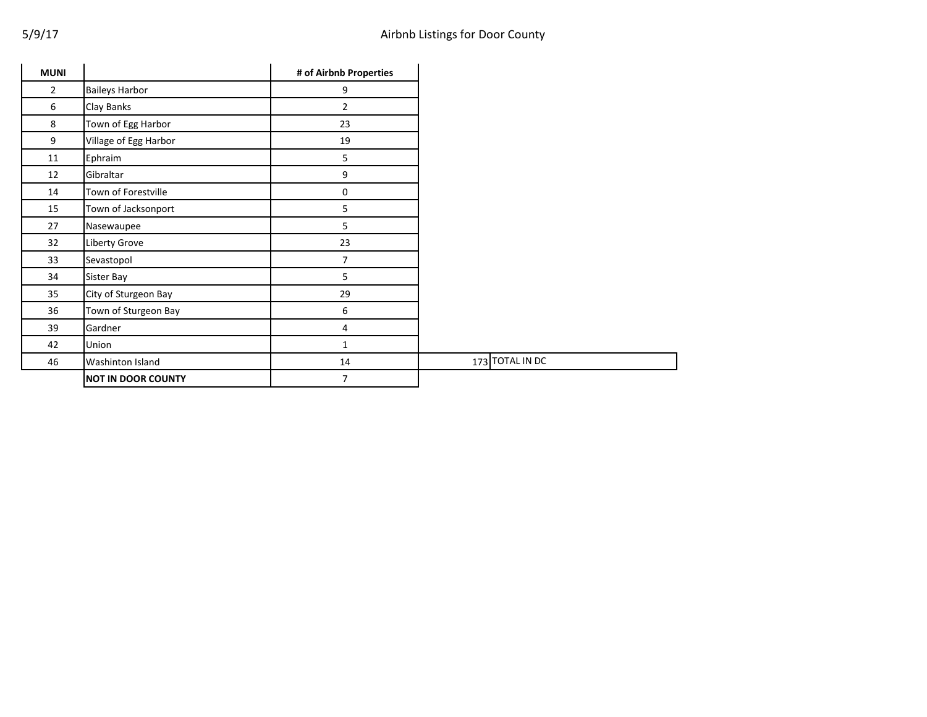| <b>MUNI</b>    |                           | # of Airbnb Properties |
|----------------|---------------------------|------------------------|
| $\overline{2}$ | <b>Baileys Harbor</b>     | 9                      |
| 6              | Clay Banks                | $\overline{2}$         |
| 8              | Town of Egg Harbor        | 23                     |
| 9              | Village of Egg Harbor     | 19                     |
| 11             | Ephraim                   | 5                      |
| 12             | Gibraltar                 | 9                      |
| 14             | Town of Forestville       | 0                      |
| 15             | Town of Jacksonport       | 5                      |
| 27             | Nasewaupee                | 5                      |
| 32             | Liberty Grove             | 23                     |
| 33             | Sevastopol                | $\overline{7}$         |
| 34             | Sister Bay                | 5                      |
| 35             | City of Sturgeon Bay      | 29                     |
| 36             | Town of Sturgeon Bay      | 6                      |
| 39             | Gardner                   | 4                      |
| 42             | Union                     | 1                      |
| 46             | Washinton Island          | 14                     |
|                | <b>NOT IN DOOR COUNTY</b> | 7                      |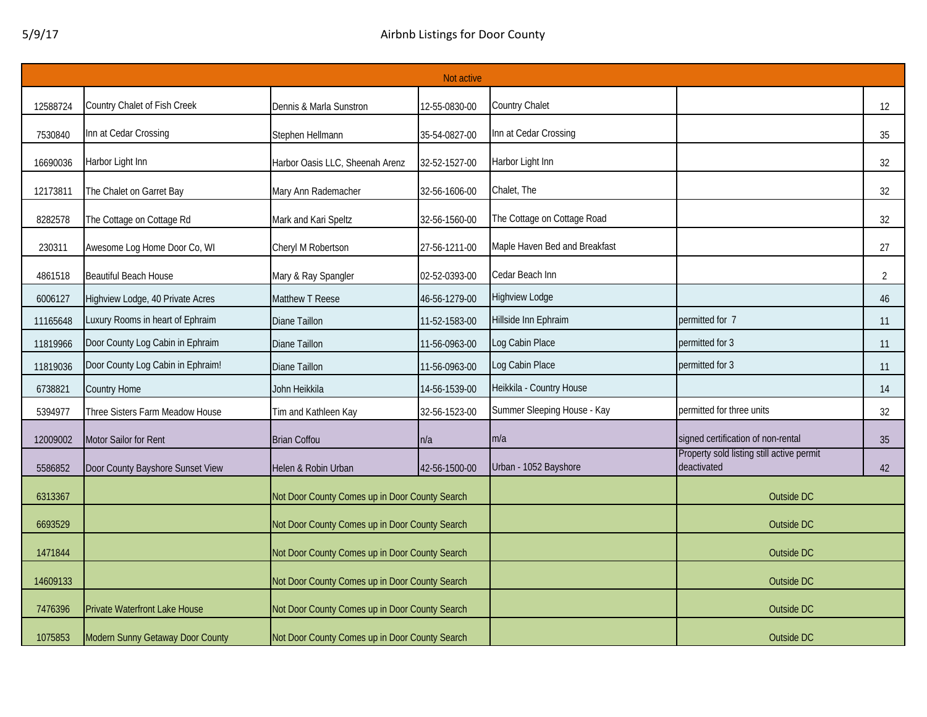|          | Not active                        |                                                |               |                               |                                                          |                |  |  |
|----------|-----------------------------------|------------------------------------------------|---------------|-------------------------------|----------------------------------------------------------|----------------|--|--|
| 12588724 | Country Chalet of Fish Creek      | Dennis & Marla Sunstron                        | 12-55-0830-00 | Country Chalet                |                                                          | 12             |  |  |
| 7530840  | Inn at Cedar Crossing             | Stephen Hellmann                               | 35-54-0827-00 | Inn at Cedar Crossing         |                                                          | 35             |  |  |
| 16690036 | Harbor Light Inn                  | Harbor Oasis LLC, Sheenah Arenz                | 32-52-1527-00 | Harbor Light Inn              |                                                          | 32             |  |  |
| 12173811 | The Chalet on Garret Bay          | Mary Ann Rademacher                            | 32-56-1606-00 | Chalet, The                   |                                                          | 32             |  |  |
| 8282578  | The Cottage on Cottage Rd         | Mark and Kari Speltz                           | 32-56-1560-00 | The Cottage on Cottage Road   |                                                          | 32             |  |  |
| 230311   | Awesome Log Home Door Co, WI      | Cheryl M Robertson                             | 27-56-1211-00 | Maple Haven Bed and Breakfast |                                                          | 27             |  |  |
| 4861518  | <b>Beautiful Beach House</b>      | Mary & Ray Spangler                            | 02-52-0393-00 | Cedar Beach Inn               |                                                          | $\overline{2}$ |  |  |
| 6006127  | Highview Lodge, 40 Private Acres  | Matthew T Reese                                | 46-56-1279-00 | Highview Lodge                |                                                          | 46             |  |  |
| 11165648 | Luxury Rooms in heart of Ephraim  | Diane Taillon                                  | 11-52-1583-00 | Hillside Inn Ephraim          | permitted for 7                                          | 11             |  |  |
| 11819966 | Door County Log Cabin in Ephraim  | Diane Taillon                                  | 11-56-0963-00 | Log Cabin Place               | permitted for 3                                          | 11             |  |  |
| 11819036 | Door County Log Cabin in Ephraim! | Diane Taillon                                  | 11-56-0963-00 | Log Cabin Place               | permitted for 3                                          | 11             |  |  |
| 6738821  | Country Home                      | John Heikkila                                  | 14-56-1539-00 | Heikkila - Country House      |                                                          | 14             |  |  |
| 5394977  | Three Sisters Farm Meadow House   | Tim and Kathleen Kay                           | 32-56-1523-00 | Summer Sleeping House - Kay   | permitted for three units                                | 32             |  |  |
| 12009002 | Motor Sailor for Rent             | <b>Brian Coffou</b>                            | n/a           | m/a                           | signed certification of non-rental                       | 35             |  |  |
| 5586852  | Door County Bayshore Sunset View  | Helen & Robin Urban                            | 42-56-1500-00 | Urban - 1052 Bayshore         | Property sold listing still active permit<br>deactivated | 42             |  |  |
| 6313367  |                                   | Not Door County Comes up in Door County Search |               |                               | Outside DC                                               |                |  |  |
| 6693529  |                                   | Not Door County Comes up in Door County Search |               |                               | Outside DC                                               |                |  |  |
| 1471844  |                                   | Not Door County Comes up in Door County Search |               |                               | Outside DC                                               |                |  |  |
| 14609133 |                                   | Not Door County Comes up in Door County Search |               |                               | Outside DC                                               |                |  |  |
| 7476396  | Private Waterfront Lake House     | Not Door County Comes up in Door County Search |               |                               | Outside DC                                               |                |  |  |
| 1075853  | Modern Sunny Getaway Door County  | Not Door County Comes up in Door County Search |               |                               | Outside DC                                               |                |  |  |